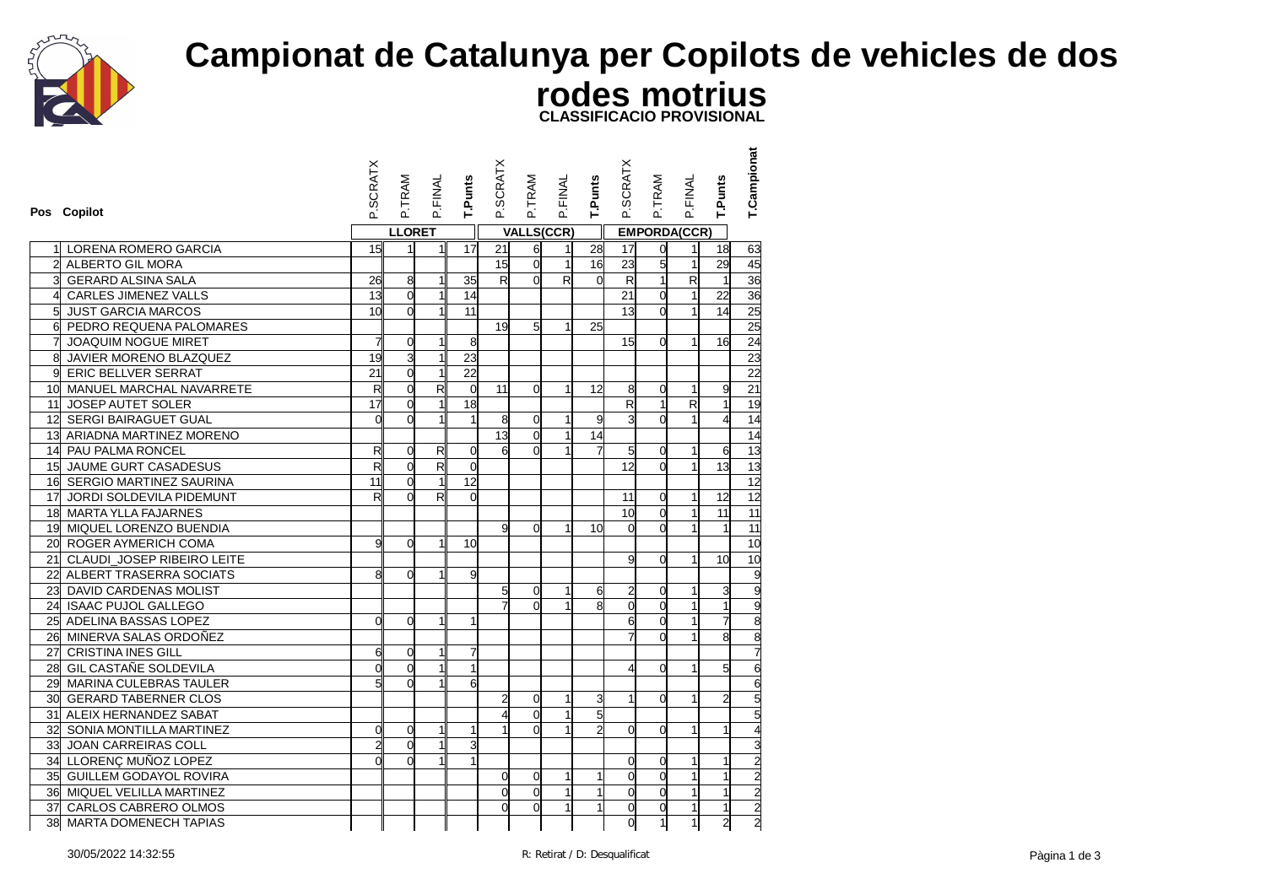

## **Campionat de Catalunya per Copilots de vehicles de dos rodes motrius CLASSIFICACIO PROVISIONAL**

|                 | Pos Copilot                   | <b>SCRATX</b>           | P.TRAM         | P.FINAL                 | T.Punts         | P.SCRATX                | P.TRAM            | P.FINAL        | T.Punts        | P.SCRATX                | P.TRAM              | P.FINAL      | T.Punts        | <b>T.Campionat</b>                                  |
|-----------------|-------------------------------|-------------------------|----------------|-------------------------|-----------------|-------------------------|-------------------|----------------|----------------|-------------------------|---------------------|--------------|----------------|-----------------------------------------------------|
|                 |                               |                         | <b>LLORET</b>  |                         |                 |                         | <b>VALLS(CCR)</b> |                |                |                         | <b>EMPORDA(CCR)</b> |              |                |                                                     |
|                 | LORENA ROMERO GARCIA          | 15                      |                | 1                       | 17              | 21                      | 6                 | 1              | 28             | 17                      | $\overline{0}$      | 11           | 18             | 63                                                  |
| $\mathbf{z}$    | ALBERTO GIL MORA              |                         |                |                         |                 | 15                      | $\mathbf 0$       | $\mathbf{1}$   | 16             | 23                      | 5                   | $\mathbf{1}$ | 29             | 45                                                  |
|                 | <b>GERARD ALSINA SALA</b>     | 26                      | 8              | 1                       | 35              | $\overline{\mathsf{R}}$ | $\Omega$          | $\overline{R}$ | $\overline{0}$ | R                       | $\overline{1}$      | R            | $\overline{1}$ | 36                                                  |
| 4               | CARLES JIMENEZ VALLS          | 13                      | $\overline{0}$ | $\mathbf{1}$            | 14              |                         |                   |                |                | 21                      | $\overline{0}$      | $\mathbf{1}$ | 22             |                                                     |
| $5\frac{1}{2}$  | <b>JUST GARCIA MARCOS</b>     | 10                      | $\Omega$       | $\mathbf{1}$            | 11              |                         |                   |                |                | 13                      | $\Omega$            | $\mathbf{1}$ | 14             | 36<br>25<br>25                                      |
| $\mathsf{d}$    | PEDRO REQUENA PALOMARES       |                         |                |                         |                 | 19                      | 5                 | 1              | 25             |                         |                     |              |                |                                                     |
|                 | <b>JOAQUIM NOGUE MIRET</b>    | 7                       | $\overline{0}$ | 1                       | 8               |                         |                   |                |                | 15                      | $\Omega$            | $\mathbf{1}$ | 16             | 24                                                  |
| $\overline{8}$  | JAVIER MORENO BLAZQUEZ        | $\overline{19}$         | 3              | 1                       | 23              |                         |                   |                |                |                         |                     |              |                |                                                     |
| gl              | <b>ERIC BELLVER SERRAT</b>    | 21                      | $\overline{0}$ |                         | $\overline{22}$ |                         |                   |                |                |                         |                     |              |                | $\frac{23}{22}$                                     |
| 10 <sup>1</sup> | MANUEL MARCHAL NAVARRETE      | $\mathsf{R}$            | $\overline{0}$ | $\mathsf{R}$            | $\overline{0}$  | 11                      | $\overline{0}$    | 1              | 12             | 8                       | 0                   | $\mathbf{1}$ | 9              | 21                                                  |
| 11              | JOSEP AUTET SOLER             | 17                      | $\mathbf 0$    |                         | 18              |                         |                   |                |                | $\overline{\mathsf{R}}$ | $\mathbf{1}$        | R            | 1              | 19                                                  |
|                 | 12 SERGI BAIRAGUET GUAL       | $\overline{0}$          | $\Omega$       |                         | $\mathbf{1}$    | 8                       | 0                 | $\mathbf{1}$   | 9              | 3                       | $\overline{0}$      | $\mathbf{1}$ |                | 14                                                  |
|                 | 13 ARIADNA MARTINEZ MORENO    |                         |                |                         |                 | 13                      | $\overline{0}$    | $\mathbf{1}$   | 14             |                         |                     |              |                |                                                     |
|                 | 14 PAU PALMA RONCEL           | R                       | $\Omega$       | $\mathsf{R}$            | $\overline{0}$  | 6                       | $\Omega$          |                |                | $5\overline{a}$         | 0                   | 1            | 6              | $\frac{14}{13}$                                     |
|                 | 15 JAUME GURT CASADESUS       | $\overline{\mathbf{z}}$ | $\mathbf 0$    | $\overline{\mathsf{R}}$ | $\mathbf 0$     |                         |                   |                |                | 12                      | $\overline{0}$      | $\mathbf{1}$ | 13             |                                                     |
|                 | 16 SERGIO MARTINEZ SAURINA    | 11                      | $\overline{0}$ |                         | 12              |                         |                   |                |                |                         |                     |              |                |                                                     |
| 17              | JORDI SOLDEVILA PIDEMUNT      | R                       | $\Omega$       | $\mathsf{R}$            | $\overline{0}$  |                         |                   |                |                | 11                      | 0                   | $\mathbf{1}$ | 12             | $\begin{array}{r} 13 \\ 12 \\ 12 \\ 11 \end{array}$ |
|                 | 18 MARTA YLLA FAJARNES        |                         |                |                         |                 |                         |                   |                |                | 10                      | $\overline{0}$      | $\mathbf{1}$ | 11             |                                                     |
|                 | 19 MIQUEL LORENZO BUENDIA     |                         |                |                         |                 | $\mathbf{q}$            | $\Omega$          | 1              | 10             | <sub>0</sub>            | $\Omega$            | 1            | $\overline{1}$ | 11                                                  |
| 20 <sup>1</sup> | ROGER AYMERICH COMA           | 9                       | $\overline{0}$ | $\mathbf{1}$            | 10              |                         |                   |                |                |                         |                     |              |                | 10                                                  |
|                 | 21 CLAUDI_JOSEP RIBEIRO LEITE |                         |                |                         |                 |                         |                   |                |                | g                       | $\Omega$            | 1            | 10             | 10                                                  |
|                 | 22 ALBERT TRASERRA SOCIATS    | 8                       | $\Omega$       |                         | 9               |                         |                   |                |                |                         |                     |              |                |                                                     |
| 23              | DAVID CARDENAS MOLIST         |                         |                |                         |                 | $5\overline{5}$         | 0                 | $\mathbf{1}$   | 6              | $\overline{a}$          | $\mathbf 0$         | $\mathbf{1}$ | 3              |                                                     |
|                 | 24 ISAAC PUJOL GALLEGO        |                         |                |                         |                 |                         | $\Omega$          |                | 8              | $\mathsf{o}$            | $\overline{0}$      | 1            | 1              |                                                     |
|                 | 25 ADELINA BASSAS LOPEZ       | $\Omega$                | $\Omega$       |                         | $\mathbf{1}$    |                         |                   |                |                | $\mathbf{6}$            | $\mathbf 0$         |              |                |                                                     |
| 26              | MINERVA SALAS ORDOÑEZ         |                         |                |                         |                 |                         |                   |                |                |                         | O                   | 1            | 8              |                                                     |
| 27              | <b>CRISTINA INES GILL</b>     | 6                       | 0              |                         | 7               |                         |                   |                |                |                         |                     |              |                |                                                     |
|                 | 28 GIL CASTAÑE SOLDEVILA      | $\overline{0}$          | $\overline{0}$ |                         | $\mathbf{1}$    |                         |                   |                |                | 4                       | $\Omega$            | $\mathbf{1}$ | 5              |                                                     |
| 29              | MARINA CULEBRAS TAULER        |                         | $\Omega$       |                         | 6               |                         |                   |                |                |                         |                     |              |                |                                                     |
|                 | 30 GERARD TABERNER CLOS       |                         |                |                         |                 | $\overline{2}$          | 0                 | $\mathbf{1}$   | 3              | $\mathbf{1}$            | 0                   | 1            | $\overline{2}$ |                                                     |
|                 | 31 ALEIX HERNANDEZ SABAT      |                         |                |                         |                 | 4                       | $\overline{0}$    | $\mathbf{1}$   | 5              |                         |                     |              |                |                                                     |
|                 | 32 SONIA MONTILLA MARTINEZ    | $\mathbf 0$             | $\overline{0}$ | $\mathbf{1}$            | $\mathbf{1}$    | $\mathbf{1}$            | $\Omega$          | $\mathbf{1}$   | $\overline{2}$ | ď                       | $\Omega$            | 1            | $\mathbf{1}$   |                                                     |
| 33              | JOAN CARREIRAS COLL           | $\overline{c}$          | $\Omega$       |                         | 3               |                         |                   |                |                |                         |                     |              |                |                                                     |
|                 | 34 LLORENÇ MUÑOZ LOPEZ        | $\Omega$                | $\Omega$       |                         | $\mathbf{1}$    |                         |                   |                |                | 0                       | 0                   | 1            | 1              |                                                     |
|                 | 35 GUILLEM GODAYOL ROVIRA     |                         |                |                         |                 | $\overline{0}$          | $\mathbf 0$       | $\mathbf{1}$   | 1              | $\mathsf{o}$            | $\overline{0}$      | 1            |                |                                                     |
|                 | 36 MIQUEL VELILLA MARTINEZ    |                         |                |                         |                 | $\Omega$                | 0                 | 1              | 1              | d                       | $\overline{0}$      | $\mathbf{1}$ | 1              |                                                     |
|                 | 37 CARLOS CABRERO OLMOS       |                         |                |                         |                 | $\Omega$                | $\mathbf 0$       | $\mathbf{1}$   | 1              | $\mathbf 0$             | $\overline{0}$      | $\mathbf{1}$ | 1              | N N N N N W + 0 N M O N O W O G G G                 |
|                 | 38 MARTA DOMENECH TAPIAS      |                         |                |                         |                 |                         |                   |                |                | d                       | $\mathbf{1}$        | $\mathbf{1}$ | $\overline{c}$ |                                                     |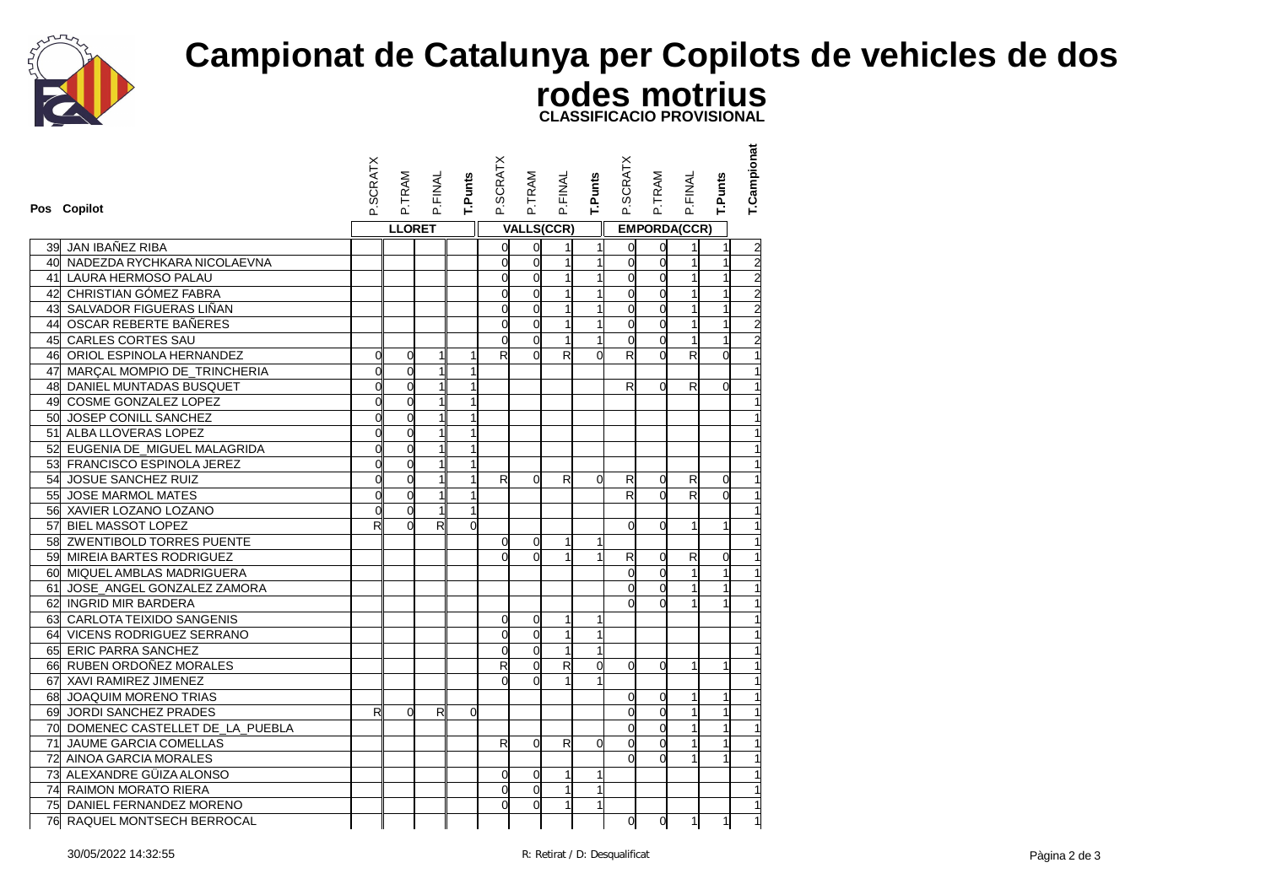

## **Campionat de Catalunya per Copilots de vehicles de dos rodes motrius CLASSIFICACIO PROVISIONAL**

|    | Pos Copilot                       | <b>SCRATX</b>  | P.TRAM         | P.FINAL      | T.Punts  | P.SCRATX                | P.TRAM         | P.FINAL                 | T.Punts        | P.SCRATX       | P.TRAM         | P.FINAL             | T.Punts        | T.Campionat |
|----|-----------------------------------|----------------|----------------|--------------|----------|-------------------------|----------------|-------------------------|----------------|----------------|----------------|---------------------|----------------|-------------|
|    |                                   |                | <b>LLORET</b>  |              |          |                         |                | <b>VALLS(CCR)</b>       |                |                |                | <b>EMPORDA(CCR)</b> |                |             |
| 39 | JAN IBAÑEZ RIBA                   |                |                |              |          | ol                      | $\mathbf 0$    | 1                       | $\mathbf{1}$   | O              | 0              |                     | 1              |             |
|    | 40 NADEZDA RYCHKARA NICOLAEVNA    |                |                |              |          | $\overline{0}$          | $\overline{0}$ | $\mathbf{1}$            | $\mathbf{1}$   | ď              | $\mathbf 0$    |                     | $\mathbf{1}$   | 2222222     |
|    | 41 LAURA HERMOSO PALAU            |                |                |              |          | <sub>0</sub>            | $\Omega$       | $\mathbf{1}$            |                | $\Omega$       | $\Omega$       |                     |                |             |
|    | 42 CHRISTIAN GÓMEZ FABRA          |                |                |              |          | $\overline{0}$          | $\overline{0}$ | $\mathbf{1}$            | $\mathbf{1}$   | $\overline{0}$ | o              | $\mathbf{1}$        | $\mathbf{1}$   |             |
|    | 43 SALVADOR FIGUERAS LIÑAN        |                |                |              |          | 0                       | $\Omega$       | $\mathbf{1}$            | $\overline{1}$ | Ω              | $\overline{0}$ | $\mathbf{1}$        | $\mathbf{1}$   |             |
|    | 44 OSCAR REBERTE BAÑERES          |                |                |              |          | <sub>0</sub>            | $\Omega$       | $\mathbf{1}$            | $\mathbf{1}$   | $\Omega$       | $\overline{0}$ |                     |                |             |
|    | 45 CARLES CORTES SAU              |                |                |              |          | d                       | $\Omega$       | $\mathbf{1}$            | $\mathbf{1}$   | $\Omega$       | $\overline{0}$ | $\mathbf{1}$        |                |             |
|    | 46 ORIOL ESPINOLA HERNANDEZ       | $\overline{0}$ | $\mathbf 0$    | 1            | 1        | R                       | $\Omega$       | R                       | $\Omega$       | R              | $\Omega$       | R                   | $\Omega$       |             |
|    | 47 MARÇAL MOMPIO DE_TRINCHERIA    | $\overline{0}$ | $\overline{0}$ | 1            |          |                         |                |                         |                |                |                |                     |                |             |
|    | 48 DANIEL MUNTADAS BUSQUET        | d              | $\overline{0}$ | $\mathbf{1}$ |          |                         |                |                         |                | R              | $\Omega$       | R                   | $\overline{0}$ |             |
|    | 49 COSME GONZALEZ LOPEZ           | $\overline{0}$ | $\overline{0}$ | 1            |          |                         |                |                         |                |                |                |                     |                |             |
|    | 50 JOSEP CONILL SANCHEZ           | $\mathsf{d}$   | 0              | $\mathbf{1}$ |          |                         |                |                         |                |                |                |                     |                |             |
|    | 51 ALBA LLOVERAS LOPEZ            | 0              | $\mathbf 0$    | $\mathbf{1}$ |          |                         |                |                         |                |                |                |                     |                |             |
|    | 52 EUGENIA DE MIGUEL MALAGRIDA    | $\overline{0}$ | $\overline{0}$ | $\mathbf{1}$ |          |                         |                |                         |                |                |                |                     |                |             |
|    | 53 FRANCISCO ESPINOLA JEREZ       | $\overline{0}$ | O              | $\mathbf{1}$ |          |                         |                |                         |                |                |                |                     |                |             |
|    | 54 JOSUE SANCHEZ RUIZ             | d              | $\Omega$       | $\mathbf{1}$ |          | R                       | $\Omega$       | R                       | $\Omega$       | R              | 0              | R                   | $\Omega$       |             |
|    | 55 JOSE MARMOL MATES              | d              | $\overline{0}$ | $\mathbf{1}$ |          |                         |                |                         |                | R              | $\Omega$       | R                   | $\Omega$       |             |
|    | 56 XAVIER LOZANO LOZANO           | $\overline{0}$ | $\overline{0}$ | $\mathbf{1}$ |          |                         |                |                         |                |                |                |                     |                |             |
|    | 57 BIEL MASSOT LOPEZ              | $\mathsf{R}$   | $\Omega$       | $\mathsf{R}$ | $\Omega$ |                         |                |                         |                | Ω              | $\Omega$       | $\mathbf{1}$        | $\mathbf{1}$   |             |
|    | 58 ZWENTIBOLD TORRES PUENTE       |                |                |              |          | 0                       | $\Omega$       | 1                       | 1              |                |                |                     |                |             |
|    | 59 MIREIA BARTES RODRIGUEZ        |                |                |              |          | d                       | $\Omega$       | $\mathbf{1}$            | 1              | R              | 0              | R                   | 0              |             |
|    | 60 MIQUEL AMBLAS MADRIGUERA       |                |                |              |          |                         |                |                         |                | $\Omega$       | $\overline{0}$ | $\mathbf{1}$        | 1              |             |
|    | 61 JOSE_ANGEL GONZALEZ ZAMORA     |                |                |              |          |                         |                |                         |                | $\overline{0}$ | $\mathbf 0$    |                     | $\mathbf{1}$   |             |
|    | 62 INGRID MIR BARDERA             |                |                |              |          |                         |                |                         |                | $\Omega$       | $\Omega$       |                     |                |             |
|    | 63 CARLOTA TEIXIDO SANGENIS       |                |                |              |          | 0                       | $\overline{0}$ | $\mathbf{1}$            |                |                |                |                     |                |             |
|    | 64 VICENS RODRIGUEZ SERRANO       |                |                |              |          | 0                       | $\overline{0}$ | 1                       | 1              |                |                |                     |                |             |
|    | 65 ERIC PARRA SANCHEZ             |                |                |              |          | O                       | $\Omega$       | $\mathbf{1}$            | $\overline{1}$ |                |                |                     |                |             |
|    | 66 RUBEN ORDOÑEZ MORALES          |                |                |              |          | $\overline{\mathsf{R}}$ | $\Omega$       | $\overline{\mathsf{R}}$ | $\Omega$       | $\Omega$       | $\Omega$       |                     | 1              |             |
|    | 67 XAVI RAMIREZ JIMENEZ           |                |                |              |          | d                       | $\Omega$       | $\mathbf{1}$            | 1              |                |                |                     |                |             |
|    | 68 JOAQUIM MORENO TRIAS           |                |                |              |          |                         |                |                         |                | <sub>O</sub>   | 0              | 1                   | 1              |             |
|    | 69 JORDI SANCHEZ PRADES           | R              | $\Omega$       | R            | 0        |                         |                |                         |                | d              | $\Omega$       |                     |                |             |
|    | 70 DOMENEC CASTELLET DE LA PUEBLA |                |                |              |          |                         |                |                         |                | <sub>0</sub>   | $\Omega$       |                     | 1              |             |
|    | 71 JAUME GARCIA COMELLAS          |                |                |              |          | R                       | $\Omega$       | $\mathsf{R}$            | $\Omega$       | $\Omega$       | $\overline{0}$ |                     | 1              |             |
|    | 72 AINOA GARCIA MORALES           |                |                |              |          |                         |                |                         |                | <sub>0</sub>   | $\overline{0}$ |                     |                |             |
|    | 73 ALEXANDRE GÜIZA ALONSO         |                |                |              |          | 0                       | $\Omega$       | $\mathbf{1}$            | 1              |                |                |                     |                |             |
|    | 74 RAIMON MORATO RIERA            |                |                |              |          | d                       | $\overline{0}$ | $\mathbf{1}$            |                |                |                |                     |                |             |
|    | 75 DANIEL FERNANDEZ MORENO        |                |                |              |          | $\mathsf{0}$            | $\overline{0}$ | $\mathbf{1}$            | $\mathbf{1}$   |                |                |                     |                |             |
| 76 | RAQUEL MONTSECH BERROCAL          |                |                |              |          |                         |                |                         |                | <sub>0</sub>   | 0              | 1                   | $\mathbf{1}$   |             |